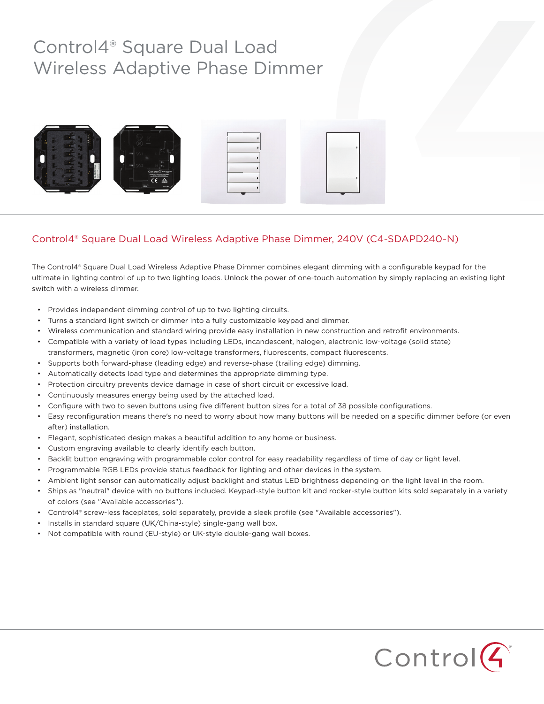# Control4® Square Dual Load Wireless Adaptive Phase Dimmer



### Control4® Square Dual Load Wireless Adaptive Phase Dimmer, 240V (C4-SDAPD240-N)

The Control4® Square Dual Load Wireless Adaptive Phase Dimmer combines elegant dimming with a configurable keypad for the ultimate in lighting control of up to two lighting loads. Unlock the power of one-touch automation by simply replacing an existing light switch with a wireless dimmer.

- Provides independent dimming control of up to two lighting circuits.
- Turns a standard light switch or dimmer into a fully customizable keypad and dimmer.
- Wireless communication and standard wiring provide easy installation in new construction and retrofit environments.
- Compatible with a variety of load types including LEDs, incandescent, halogen, electronic low-voltage (solid state) transformers, magnetic (iron core) low-voltage transformers, fluorescents, compact fluorescents.
- Supports both forward-phase (leading edge) and reverse-phase (trailing edge) dimming.
- Automatically detects load type and determines the appropriate dimming type.
- Protection circuitry prevents device damage in case of short circuit or excessive load.
- Continuously measures energy being used by the attached load.
- Configure with two to seven buttons using five different button sizes for a total of 38 possible configurations.
- Easy reconfiguration means there's no need to worry about how many buttons will be needed on a specific dimmer before (or even after) installation.
- Elegant, sophisticated design makes a beautiful addition to any home or business.
- Custom engraving available to clearly identify each button.
- Backlit button engraving with programmable color control for easy readability regardless of time of day or light level.
- Programmable RGB LEDs provide status feedback for lighting and other devices in the system.
- Ambient light sensor can automatically adjust backlight and status LED brightness depending on the light level in the room.
- Ships as "neutral" device with no buttons included. Keypad-style button kit and rocker-style button kits sold separately in a variety of colors (see "Available accessories").
- Control4® screw-less faceplates, sold separately, provide a sleek profile (see "Available accessories").
- Installs in standard square (UK/China-style) single-gang wall box.
- Not compatible with round (EU-style) or UK-style double-gang wall boxes.

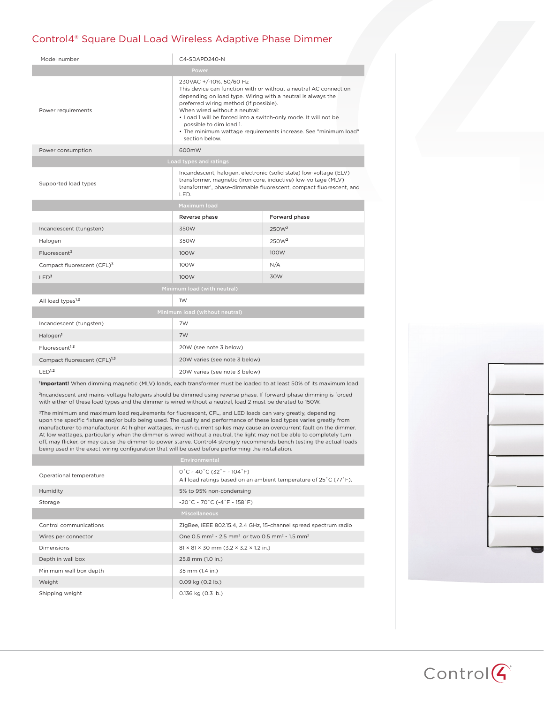### Control4® Square Dual Load Wireless Adaptive Phase Dimmer

| Model number                             | C4-SDAPD240-N                                                                                                                                                                                                                                                                                                                                                                                                            |                   |
|------------------------------------------|--------------------------------------------------------------------------------------------------------------------------------------------------------------------------------------------------------------------------------------------------------------------------------------------------------------------------------------------------------------------------------------------------------------------------|-------------------|
| <b>Power</b>                             |                                                                                                                                                                                                                                                                                                                                                                                                                          |                   |
| Power requirements                       | 230VAC +/-10%, 50/60 Hz<br>This device can function with or without a neutral AC connection<br>depending on load type. Wiring with a neutral is always the<br>preferred wiring method (if possible).<br>When wired without a neutral:<br>. Load 1 will be forced into a switch-only mode. It will not be<br>possible to dim load 1.<br>• The minimum wattage requirements increase. See "minimum load"<br>section below. |                   |
| Power consumption                        | 600mW                                                                                                                                                                                                                                                                                                                                                                                                                    |                   |
| Load types and ratings                   |                                                                                                                                                                                                                                                                                                                                                                                                                          |                   |
| Supported load types                     | Incandescent, halogen, electronic (solid state) low-voltage (ELV)<br>transformer, magnetic (iron core, inductive) low-voltage (MLV)<br>transformer <sup>1</sup> , phase-dimmable fluorescent, compact fluorescent, and<br>LED.                                                                                                                                                                                           |                   |
| Maximum load                             |                                                                                                                                                                                                                                                                                                                                                                                                                          |                   |
|                                          | Reverse phase                                                                                                                                                                                                                                                                                                                                                                                                            | Forward phase     |
| Incandescent (tungsten)                  | 350W                                                                                                                                                                                                                                                                                                                                                                                                                     | 250W <sup>2</sup> |
| Halogen                                  | 350W                                                                                                                                                                                                                                                                                                                                                                                                                     | 250W <sup>2</sup> |
| Fluorescent <sup>3</sup>                 | 100W                                                                                                                                                                                                                                                                                                                                                                                                                     | 100W              |
| Compact fluorescent (CFL)3               | 100W                                                                                                                                                                                                                                                                                                                                                                                                                     | N/A               |
| LED <sup>3</sup>                         | 100W                                                                                                                                                                                                                                                                                                                                                                                                                     | 30W               |
| Minimum load (with neutral)              |                                                                                                                                                                                                                                                                                                                                                                                                                          |                   |
| All load types <sup>1,3</sup>            | 1W                                                                                                                                                                                                                                                                                                                                                                                                                       |                   |
| Minimum load (without neutral)           |                                                                                                                                                                                                                                                                                                                                                                                                                          |                   |
| Incandescent (tungsten)                  | 7W                                                                                                                                                                                                                                                                                                                                                                                                                       |                   |
| Halogen <sup>1</sup>                     | 7W                                                                                                                                                                                                                                                                                                                                                                                                                       |                   |
| Fluorescent <sup>1,3</sup>               | 20W (see note 3 below)                                                                                                                                                                                                                                                                                                                                                                                                   |                   |
| Compact fluorescent (CFL) <sup>1,3</sup> | 20W varies (see note 3 below)                                                                                                                                                                                                                                                                                                                                                                                            |                   |
| LED <sup>1,2</sup>                       | 20W varies (see note 3 below)                                                                                                                                                                                                                                                                                                                                                                                            |                   |

**1 Important!** When dimming magnetic (MLV) loads, each transformer must be loaded to at least 50% of its maximum load.

2Incandescent and mains-voltage halogens should be dimmed using reverse phase. If forward-phase dimming is forced with either of these load types and the dimmer is wired without a neutral, load 2 must be derated to 150W.

<sup>3</sup>The minimum and maximum load requirements for fluorescent, CFL, and LED loads can vary greatly, depending upon the specific fixture and/or bulb being used. The quality and performance of these load types varies greatly from manufacturer to manufacturer. At higher wattages, in-rush current spikes may cause an overcurrent fault on the dimmer. At low wattages, particularly when the dimmer is wired without a neutral, the light may not be able to completely turn off, may flicker, or may cause the dimmer to power starve. Control4 strongly recommends bench testing the actual loads<br>being used in the exact wiring configuration that will be used before performing the installation.

|                         | Environmental                                                                                                                                                 |  |
|-------------------------|---------------------------------------------------------------------------------------------------------------------------------------------------------------|--|
| Operational temperature | $0^{\circ}$ C ~ 40 $^{\circ}$ C (32 $^{\circ}$ F ~ 104 $^{\circ}$ F)<br>All load ratings based on an ambient temperature of $25^{\circ}$ C (77 $^{\circ}$ F). |  |
| Humidity                | 5% to 95% non-condensing                                                                                                                                      |  |
| Storage                 | $-20^{\circ}$ C ~ 70 $^{\circ}$ C (-4 $^{\circ}$ F ~ 158 $^{\circ}$ F)                                                                                        |  |
|                         | <b>Miscellaneous</b>                                                                                                                                          |  |
| Control communications  | ZigBee, IEEE 802.15.4, 2.4 GHz, 15-channel spread spectrum radio                                                                                              |  |
| Wires per connector     | One 0.5 mm <sup>2</sup> - 2.5 mm <sup>2</sup> or two 0.5 mm <sup>2</sup> - 1.5 mm <sup>2</sup>                                                                |  |
| <b>Dimensions</b>       | $81 \times 81 \times 30$ mm (3.2 $\times$ 3.2 $\times$ 1.2 in.)                                                                                               |  |
| Depth in wall box       | 25.8 mm (1.0 in.)                                                                                                                                             |  |
| Minimum wall box depth  | 35 mm (1.4 in.)                                                                                                                                               |  |
| Weight                  | $0.09$ kg $(0.2$ lb.)                                                                                                                                         |  |
| Shipping weight         | $0.136$ kg $(0.3$ lb.)                                                                                                                                        |  |
|                         |                                                                                                                                                               |  |



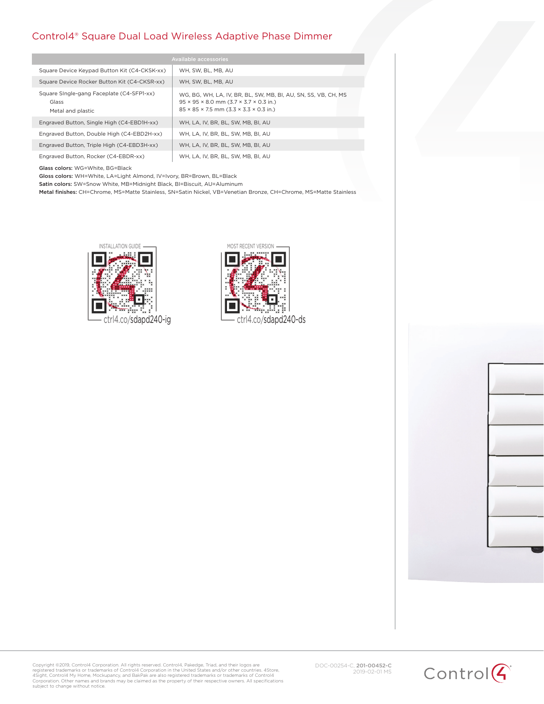#### Control4® Square Dual Load Wireless Adaptive Phase Dimmer

| Available accessories                                                   |                                                                                                                                                                                                    |  |
|-------------------------------------------------------------------------|----------------------------------------------------------------------------------------------------------------------------------------------------------------------------------------------------|--|
| Square Device Keypad Button Kit (C4-CKSK-xx)                            | WH. SW. BL. MB. AU                                                                                                                                                                                 |  |
| Square Device Rocker Button Kit (C4-CKSR-xx)                            | WH. SW. BL. MB. AU                                                                                                                                                                                 |  |
| Square Single-gang Faceplate (C4-SFP1-xx)<br>Glass<br>Metal and plastic | WG, BG, WH, LA, IV, BR, BL, SW, MB, BI, AU, SN, SS, VB, CH, MS<br>$95 \times 95 \times 8.0$ mm $(3.7 \times 3.7 \times 0.3$ in.)<br>$85 \times 85 \times 7.5$ mm $(3.3 \times 3.3 \times 0.3$ in.) |  |
| Engraved Button, Single High (C4-EBD1H-xx)                              | WH, LA, IV, BR, BL, SW, MB, BI, AU                                                                                                                                                                 |  |
| Engraved Button, Double High (C4-EBD2H-xx)                              | WH. LA. IV. BR. BL. SW. MB. BI. AU                                                                                                                                                                 |  |
| Engraved Button, Triple High (C4-EBD3H-xx)                              | WH. LA. IV. BR. BL. SW. MB. BI. AU                                                                                                                                                                 |  |
| Engraved Button, Rocker (C4-EBDR-xx)                                    | WH. LA. IV. BR. BL. SW. MB. BI. AU                                                                                                                                                                 |  |

Glass colors: WG=White, BG=Black

Gloss colors: WH=White, LA=Light Almond, IV=Ivory, BR=Brown, BL=Black

Satin colors: SW=Snow White, MB=Midnight Black, BI=Biscuit, AU=Aluminum

Metal finishes: CH=Chrome, MS=Matte Stainless, SN=Satin Nickel, VB=Venetian Bronze, CH=Chrome, MS=Matte Stainless





Copyright ©2019, Control4 Corporation. All rights reserved. Control4, Pakedge, Triad, and their logos are<br>registered trademarks or trademarks of Control4 Corporation in the United States and/or other countries. 4Store,<br>4Si

DOC-00254-C, 201-00452-C 2019-02-01 MS